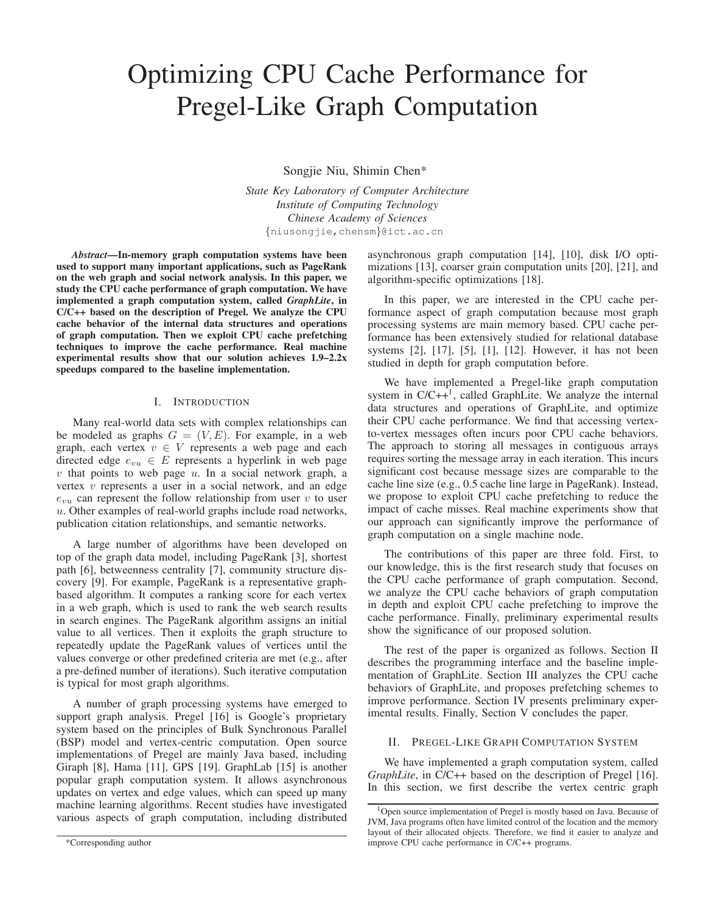# Optimizing CPU Cache Performance for Pregel-Like Graph Computation

Songjie Niu, Shimin Chen\*

*State Key Laboratory of Computer Architecture Institute of Computing Technology Chinese Academy of Sciences* {niusongjie,chensm}@ict.ac.cn

*Abstract***—In-memory graph computation systems have been used to support many important applications, such as PageRank on the web graph and social network analysis. In this paper, we study the CPU cache performance of graph computation. We have implemented a graph computation system, called** *GraphLite***, in C/C++ based on the description of Pregel. We analyze the CPU cache behavior of the internal data structures and operations of graph computation. Then we exploit CPU cache prefetching techniques to improve the cache performance. Real machine experimental results show that our solution achieves 1.9–2.2x speedups compared to the baseline implementation.**

#### I. INTRODUCTION

Many real-world data sets with complex relationships can be modeled as graphs  $G = (V, E)$ . For example, in a web graph, each vertex  $v \in V$  represents a web page and each directed edge  $e_{vu} \in E$  represents a hyperlink in web page  $v$  that points to web page  $u$ . In a social network graph, a vertex  $v$  represents a user in a social network, and an edge  $e_{vu}$  can represent the follow relationship from user v to user u. Other examples of real-world graphs include road networks, publication citation relationships, and semantic networks.

A large number of algorithms have been developed on top of the graph data model, including PageRank [3], shortest path [6], betweenness centrality [7], community structure discovery [9]. For example, PageRank is a representative graphbased algorithm. It computes a ranking score for each vertex in a web graph, which is used to rank the web search results in search engines. The PageRank algorithm assigns an initial value to all vertices. Then it exploits the graph structure to repeatedly update the PageRank values of vertices until the values converge or other predefined criteria are met (e.g., after a pre-defined number of iterations). Such iterative computation is typical for most graph algorithms.

A number of graph processing systems have emerged to support graph analysis. Pregel [16] is Google's proprietary system based on the principles of Bulk Synchronous Parallel (BSP) model and vertex-centric computation. Open source implementations of Pregel are mainly Java based, including Giraph [8], Hama [11], GPS [19]. GraphLab [15] is another popular graph computation system. It allows asynchronous updates on vertex and edge values, which can speed up many machine learning algorithms. Recent studies have investigated various aspects of graph computation, including distributed asynchronous graph computation [14], [10], disk I/O optimizations [13], coarser grain computation units [20], [21], and algorithm-specific optimizations [18].

In this paper, we are interested in the CPU cache performance aspect of graph computation because most graph processing systems are main memory based. CPU cache performance has been extensively studied for relational database systems [2], [17], [5], [1], [12]. However, it has not been studied in depth for graph computation before.

We have implemented a Pregel-like graph computation system in  $C/C++^1$ , called GraphLite. We analyze the internal data structures and operations of GraphLite, and optimize their CPU cache performance. We find that accessing vertexto-vertex messages often incurs poor CPU cache behaviors. The approach to storing all messages in contiguous arrays requires sorting the message array in each iteration. This incurs significant cost because message sizes are comparable to the cache line size (e.g., 0.5 cache line large in PageRank). Instead, we propose to exploit CPU cache prefetching to reduce the impact of cache misses. Real machine experiments show that our approach can significantly improve the performance of graph computation on a single machine node.

The contributions of this paper are three fold. First, to our knowledge, this is the first research study that focuses on the CPU cache performance of graph computation. Second, we analyze the CPU cache behaviors of graph computation in depth and exploit CPU cache prefetching to improve the cache performance. Finally, preliminary experimental results show the significance of our proposed solution.

The rest of the paper is organized as follows. Section II describes the programming interface and the baseline implementation of GraphLite. Section III analyzes the CPU cache behaviors of GraphLite, and proposes prefetching schemes to improve performance. Section IV presents preliminary experimental results. Finally, Section V concludes the paper.

#### II. PREGEL-LIKE GRAPH COMPUTATION SYSTEM

We have implemented a graph computation system, called *GraphLite*, in C/C++ based on the description of Pregel [16]. In this section, we first describe the vertex centric graph

<sup>\*</sup>Corresponding author

<sup>&</sup>lt;sup>1</sup>Open source implementation of Pregel is mostly based on Java. Because of JVM, Java programs often have limited control of the location and the memory layout of their allocated objects. Therefore, we find it easier to analyze and improve CPU cache performance in C/C++ programs.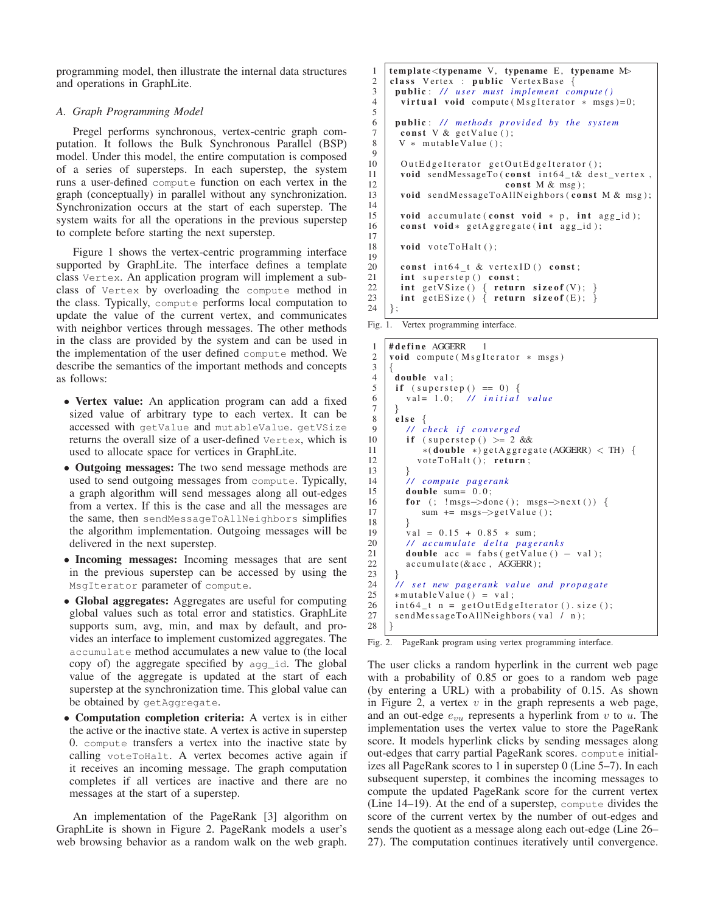programming model, then illustrate the internal data structures and operations in GraphLite.

# *A. Graph Programming Model*

Pregel performs synchronous, vertex-centric graph computation. It follows the Bulk Synchronous Parallel (BSP) model. Under this model, the entire computation is composed of a series of supersteps. In each superstep, the system runs a user-defined compute function on each vertex in the graph (conceptually) in parallel without any synchronization. Synchronization occurs at the start of each superstep. The system waits for all the operations in the previous superstep to complete before starting the next superstep.

Figure 1 shows the vertex-centric programming interface supported by GraphLite. The interface defines a template class Vertex. An application program will implement a subclass of Vertex by overloading the compute method in the class. Typically, compute performs local computation to update the value of the current vertex, and communicates with neighbor vertices through messages. The other methods in the class are provided by the system and can be used in the implementation of the user defined compute method. We describe the semantics of the important methods and concepts as follows:

- **Vertex value:** An application program can add a fixed sized value of arbitrary type to each vertex. It can be accessed with getValue and mutableValue. getVSize returns the overall size of a user-defined Vertex, which is used to allocate space for vertices in GraphLite.
- **Outgoing messages:** The two send message methods are used to send outgoing messages from compute. Typically, a graph algorithm will send messages along all out-edges from a vertex. If this is the case and all the messages are the same, then sendMessageToAllNeighbors simplifies the algorithm implementation. Outgoing messages will be delivered in the next superstep.
- **Incoming messages:** Incoming messages that are sent in the previous superstep can be accessed by using the MsgIterator parameter of compute.
- **Global aggregates:** Aggregates are useful for computing global values such as total error and statistics. GraphLite supports sum, avg, min, and max by default, and provides an interface to implement customized aggregates. The accumulate method accumulates a new value to (the local copy of) the aggregate specified by agg\_id. The global value of the aggregate is updated at the start of each superstep at the synchronization time. This global value can be obtained by getAggregate.
- **Computation completion criteria:** A vertex is in either the active or the inactive state. A vertex is active in superstep 0. compute transfers a vertex into the inactive state by calling voteToHalt. A vertex becomes active again if it receives an incoming message. The graph computation completes if all vertices are inactive and there are no messages at the start of a superstep.

An implementation of the PageRank [3] algorithm on GraphLite is shown in Figure 2. PageRank models a user's web browsing behavior as a random walk on the web graph.

```
1 template<typename V, typename E, typename M>
 2 class Vertex : public VertexBase {<br>3 public: // user must implement co
 3 public: // user must implement compute()<br>4 virtual void compute(MsgIterator * msgs)
        virtual\ void\ compute(MsgIteration * mass)=0;5
 6 public: // methods provided by the system 7 \quad \text{const} \ \vee \ \& \ \text{setValue}()const V & getValue ();
 8 \mid V \ast \text{mutableValue}();
\frac{9}{10}Out Edge I terator get Out Edge I terator ();
11 void sendMessageTo (const int64_t& dest_vertex,
12 const M & msg);<br>13 void sendMessageToAllNeighbors (con
        void sendMessageToAllNeighbors (const M & msg);
\frac{14}{15}15 void accumulate (const void * p, int agg_id);<br>16 const void* getAggregate (int agg id);
        const void* getAggregate (int agg_id);
\frac{17}{18}void vote To Halt ();
\frac{19}{20}20 const int64_t & vertexID() const;<br>21 int supersten() const:
        int superstep () const;
22 int get VSize () { return size of (V); }
23 | int get E Size () \{ return size of (E); \}24 };
```
Fig. 1. Vertex programming interface.

```
1 # define AGGERR 1
 2 | void compute (MsgIterator * msgs)
 \frac{3}{4}double val;
 \begin{array}{c|c} 5 & \text{if (superstep() == 0) } \\ 6 & \text{val= 1.0; // initial} \end{array}val = 1.0; // initial value
 7\begin{array}{c|c} 8 & \text{else} \\ 9 & \end{array} else {
\begin{array}{c|c} 9 & // check & if & converged \\ \hline \end{array} if (superstep () >= 2.8
             if (superstep() \geq 2 \&\&11 * (double *) get A g g regate (AGGERR) < TH) {
12 voteToHalt (); return;
\frac{13}{14}14 / / c om p ute p a g e r a n k
15 double sum= 0.0;
16 for (; \text{?} \text{msgs} \rightarrow \text{done} (); msgs->next ()) {<br>17 sum += msgs->getValue ():
                  sum += msgs\rightarrowgetValue ();
\frac{18}{19}\begin{array}{c|c} 19 \\ 20 \end{array} val = 0.15 + 0.85 * sum;<br>20 // accumulate delta page
             20 / / a c c u m ul at e d e l t a p a g e r a n k s
21 double acc = fabs(getValue() - val);<br>
accumulate(\&acc, AGGERR):accumulate (&acc, AGGERR);
\frac{23}{24}24 // set new pagerank value and propagate<br>25 * \frac{1}{2} * mutable Value () = val
25 | *mutable Value () = val;<br>26 | int 64 t n = get Out Edge
26 int 64_t n = get Out Edge Iterator (). size ();<br>27 send Message To All Neighbors (val / n);
         sendMessageToAll Neighbors (val / n);28 }
```
Fig. 2. PageRank program using vertex programming interface.

The user clicks a random hyperlink in the current web page with a probability of 0.85 or goes to a random web page (by entering a URL) with a probability of 0.15. As shown in Figure 2, a vertex  $v$  in the graph represents a web page, and an out-edge  $e_{vu}$  represents a hyperlink from  $v$  to  $u$ . The implementation uses the vertex value to store the PageRank score. It models hyperlink clicks by sending messages along out-edges that carry partial PageRank scores. compute initializes all PageRank scores to 1 in superstep 0 (Line 5–7). In each subsequent superstep, it combines the incoming messages to compute the updated PageRank score for the current vertex (Line 14–19). At the end of a superstep, compute divides the score of the current vertex by the number of out-edges and sends the quotient as a message along each out-edge (Line 26– 27). The computation continues iteratively until convergence.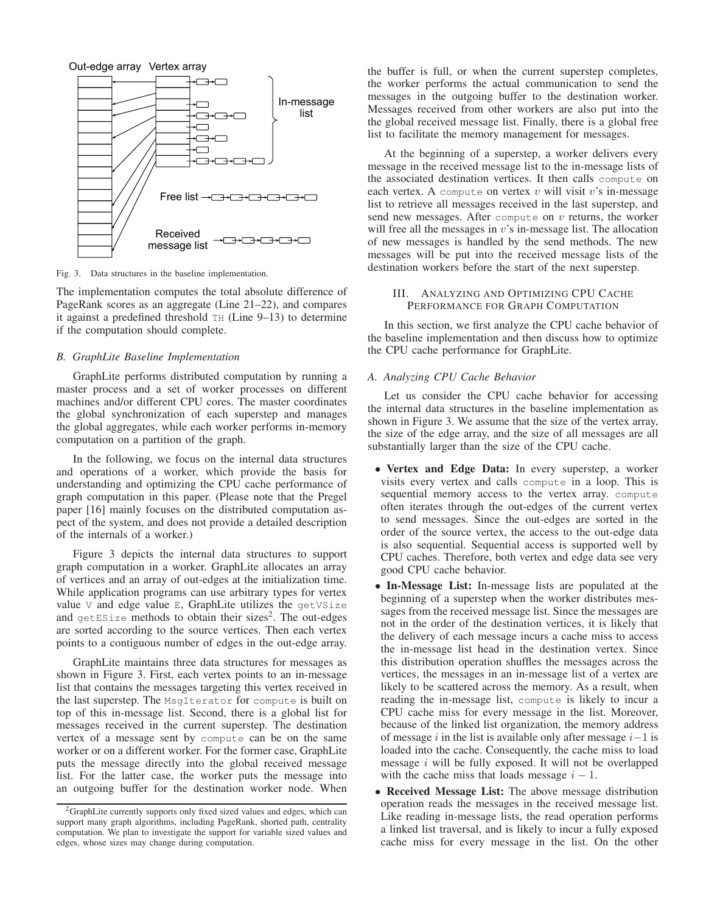

Fig. 3. Data structures in the baseline implementation.

The implementation computes the total absolute difference of PageRank scores as an aggregate (Line 21–22), and compares it against a predefined threshold TH (Line 9–13) to determine if the computation should complete.

#### *B. GraphLite Baseline Implementation*

GraphLite performs distributed computation by running a master process and a set of worker processes on different machines and/or different CPU cores. The master coordinates the global synchronization of each superstep and manages the global aggregates, while each worker performs in-memory computation on a partition of the graph.

In the following, we focus on the internal data structures and operations of a worker, which provide the basis for understanding and optimizing the CPU cache performance of graph computation in this paper. (Please note that the Pregel paper [16] mainly focuses on the distributed computation aspect of the system, and does not provide a detailed description of the internals of a worker.)

Figure 3 depicts the internal data structures to support graph computation in a worker. GraphLite allocates an array of vertices and an array of out-edges at the initialization time. While application programs can use arbitrary types for vertex value  $\nabla$  and edge value E, GraphLite utilizes the get  $V$ Size and  $\text{getEstize}$  methods to obtain their sizes<sup>2</sup>. The out-edges are sorted according to the source vertices. Then each vertex points to a contiguous number of edges in the out-edge array.

GraphLite maintains three data structures for messages as shown in Figure 3. First, each vertex points to an in-message list that contains the messages targeting this vertex received in the last superstep. The MsgIterator for compute is built on top of this in-message list. Second, there is a global list for messages received in the current superstep. The destination vertex of a message sent by compute can be on the same worker or on a different worker. For the former case, GraphLite puts the message directly into the global received message list. For the latter case, the worker puts the message into an outgoing buffer for the destination worker node. When the buffer is full, or when the current superstep completes, the worker performs the actual communication to send the messages in the outgoing buffer to the destination worker. Messages received from other workers are also put into the the global received message list. Finally, there is a global free list to facilitate the memory management for messages.

At the beginning of a superstep, a worker delivers every message in the received message list to the in-message lists of the associated destination vertices. It then calls compute on each vertex. A compute on vertex  $v$  will visit  $v$ 's in-message list to retrieve all messages received in the last superstep, and send new messages. After compute on  $v$  returns, the worker will free all the messages in  $v$ 's in-message list. The allocation of new messages is handled by the send methods. The new messages will be put into the received message lists of the destination workers before the start of the next superstep.

## III. ANALYZING AND OPTIMIZING CPU CACHE PERFORMANCE FOR GRAPH COMPUTATION

In this section, we first analyze the CPU cache behavior of the baseline implementation and then discuss how to optimize the CPU cache performance for GraphLite.

#### *A. Analyzing CPU Cache Behavior*

Let us consider the CPU cache behavior for accessing the internal data structures in the baseline implementation as shown in Figure 3. We assume that the size of the vertex array, the size of the edge array, and the size of all messages are all substantially larger than the size of the CPU cache.

- **Vertex and Edge Data:** In every superstep, a worker visits every vertex and calls compute in a loop. This is sequential memory access to the vertex array. compute often iterates through the out-edges of the current vertex to send messages. Since the out-edges are sorted in the order of the source vertex, the access to the out-edge data is also sequential. Sequential access is supported well by CPU caches. Therefore, both vertex and edge data see very good CPU cache behavior.
- **In-Message List:** In-message lists are populated at the beginning of a superstep when the worker distributes messages from the received message list. Since the messages are not in the order of the destination vertices, it is likely that the delivery of each message incurs a cache miss to access the in-message list head in the destination vertex. Since this distribution operation shuffles the messages across the vertices, the messages in an in-message list of a vertex are likely to be scattered across the memory. As a result, when reading the in-message list, compute is likely to incur a CPU cache miss for every message in the list. Moreover, because of the linked list organization, the memory address of message i in the list is available only after message  $i-1$  is loaded into the cache. Consequently, the cache miss to load message  $i$  will be fully exposed. It will not be overlapped with the cache miss that loads message  $i - 1$ .
- **Received Message List:** The above message distribution operation reads the messages in the received message list. Like reading in-message lists, the read operation performs a linked list traversal, and is likely to incur a fully exposed cache miss for every message in the list. On the other

<sup>&</sup>lt;sup>2</sup>GraphLite currently supports only fixed sized values and edges, which can support many graph algorithms, including PageRank, shorted path, centrality computation. We plan to investigate the support for variable sized values and edges, whose sizes may change during computation.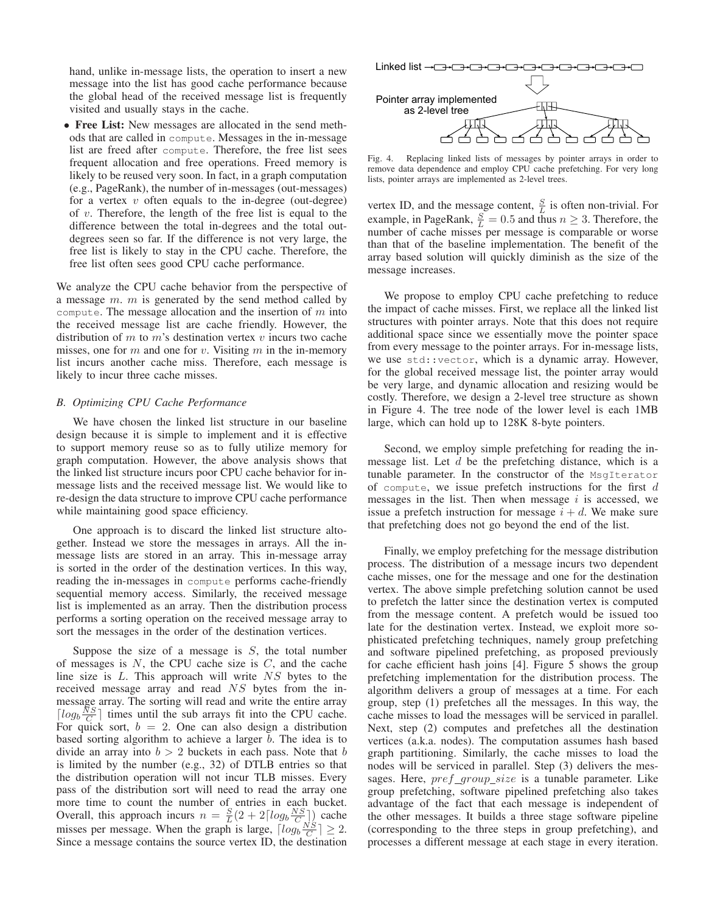hand, unlike in-message lists, the operation to insert a new message into the list has good cache performance because the global head of the received message list is frequently visited and usually stays in the cache.

• **Free List:** New messages are allocated in the send methods that are called in compute. Messages in the in-message list are freed after compute. Therefore, the free list sees frequent allocation and free operations. Freed memory is likely to be reused very soon. In fact, in a graph computation (e.g., PageRank), the number of in-messages (out-messages) for a vertex  $v$  often equals to the in-degree (out-degree) of  $v$ . Therefore, the length of the free list is equal to the difference between the total in-degrees and the total outdegrees seen so far. If the difference is not very large, the free list is likely to stay in the CPU cache. Therefore, the free list often sees good CPU cache performance.

We analyze the CPU cache behavior from the perspective of a message  $m$ .  $m$  is generated by the send method called by compute. The message allocation and the insertion of  $m$  into the received message list are cache friendly. However, the distribution of  $m$  to  $m$ 's destination vertex  $v$  incurs two cache misses, one for m and one for v. Visiting m in the in-memory list incurs another cache miss. Therefore, each message is likely to incur three cache misses.

## *B. Optimizing CPU Cache Performance*

We have chosen the linked list structure in our baseline design because it is simple to implement and it is effective to support memory reuse so as to fully utilize memory for graph computation. However, the above analysis shows that the linked list structure incurs poor CPU cache behavior for inmessage lists and the received message list. We would like to re-design the data structure to improve CPU cache performance while maintaining good space efficiency.

One approach is to discard the linked list structure altogether. Instead we store the messages in arrays. All the inmessage lists are stored in an array. This in-message array is sorted in the order of the destination vertices. In this way, reading the in-messages in compute performs cache-friendly sequential memory access. Similarly, the received message list is implemented as an array. Then the distribution process performs a sorting operation on the received message array to sort the messages in the order of the destination vertices.

Suppose the size of a message is  $S$ , the total number of messages is  $N$ , the CPU cache size is  $C$ , and the cache line size is  $L$ . This approach will write  $NS$  bytes to the received message array and read NS bytes from the inmessage array. The sorting will read and write the entire array  $\lceil log_{b} \frac{NS}{C} \rceil$  times until the sub arrays fit into the CPU cache. For quick sort,  $b = 2$ . One can also design a distribution based sorting algorithm to achieve a larger b. The idea is to divide an array into  $b > 2$  buckets in each pass. Note that b is limited by the number (e.g., 32) of DTLB entries so that the distribution operation will not incur TLB misses. Every pass of the distribution sort will need to read the array one more time to count the number of entries in each bucket. Overall, this approach incurs  $n = \frac{S}{L}(2 + 2\lceil log_b \frac{NS}{C} \rceil)$  cache misses per message. When the graph is large,  $\lceil log_b \frac{NS}{C} \rceil \ge 2$ . Since a message contains the source vertex ID, the destination



Fig. 4. Replacing linked lists of messages by pointer arrays in order to remove data dependence and employ CPU cache prefetching. For very long lists, pointer arrays are implemented as 2-level trees.

vertex ID, and the message content,  $\frac{S}{L}$  is often non-trivial. For example, in PageRank,  $\frac{S}{L} = 0.5$  and thus  $n \geq 3$ . Therefore, the number of cache misses per message is comparable or worse than that of the baseline implementation. The benefit of the array based solution will quickly diminish as the size of the message increases.

We propose to employ CPU cache prefetching to reduce the impact of cache misses. First, we replace all the linked list structures with pointer arrays. Note that this does not require additional space since we essentially move the pointer space from every message to the pointer arrays. For in-message lists, we use std::vector, which is a dynamic array. However, for the global received message list, the pointer array would be very large, and dynamic allocation and resizing would be costly. Therefore, we design a 2-level tree structure as shown in Figure 4. The tree node of the lower level is each 1MB large, which can hold up to 128K 8-byte pointers.

Second, we employ simple prefetching for reading the inmessage list. Let  $d$  be the prefetching distance, which is a tunable parameter. In the constructor of the MsgIterator of compute, we issue prefetch instructions for the first  $d$ messages in the list. Then when message  $i$  is accessed, we issue a prefetch instruction for message  $i + d$ . We make sure that prefetching does not go beyond the end of the list.

Finally, we employ prefetching for the message distribution process. The distribution of a message incurs two dependent cache misses, one for the message and one for the destination vertex. The above simple prefetching solution cannot be used to prefetch the latter since the destination vertex is computed from the message content. A prefetch would be issued too late for the destination vertex. Instead, we exploit more sophisticated prefetching techniques, namely group prefetching and software pipelined prefetching, as proposed previously for cache efficient hash joins [4]. Figure 5 shows the group prefetching implementation for the distribution process. The algorithm delivers a group of messages at a time. For each group, step (1) prefetches all the messages. In this way, the cache misses to load the messages will be serviced in parallel. Next, step (2) computes and prefetches all the destination vertices (a.k.a. nodes). The computation assumes hash based graph partitioning. Similarly, the cache misses to load the nodes will be serviced in parallel. Step (3) delivers the messages. Here,  $pref\_group\_size$  is a tunable parameter. Like group prefetching, software pipelined prefetching also takes advantage of the fact that each message is independent of the other messages. It builds a three stage software pipeline (corresponding to the three steps in group prefetching), and processes a different message at each stage in every iteration.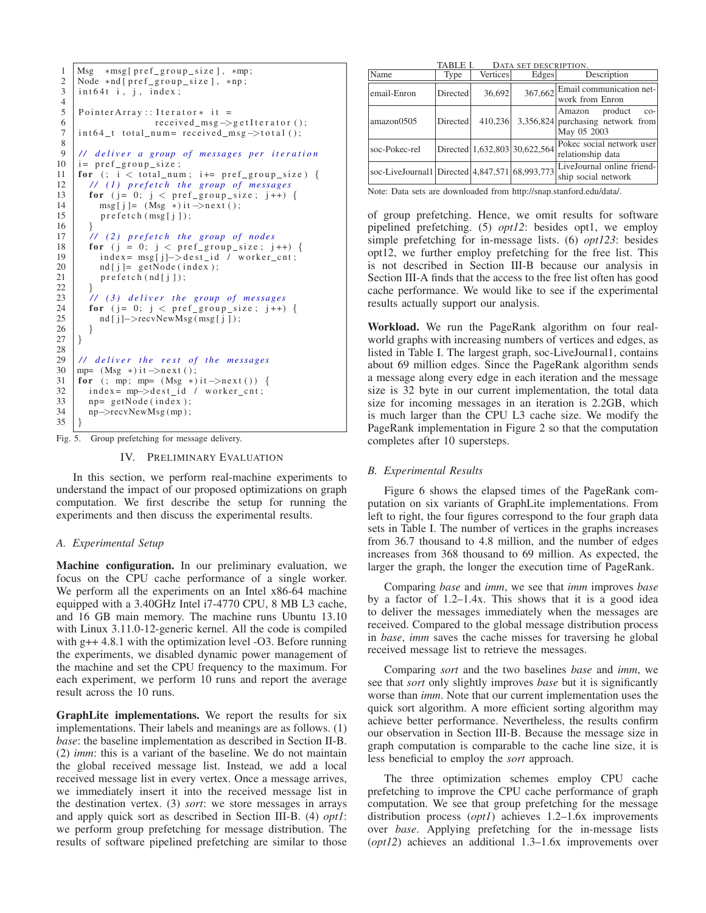```
\frac{1}{2} Msg *msg [ p r e f _g r o u p _ size ], *mp;<br>\frac{1}{2} Node *nd [ p r e f _g r o u p _ size ] _ * n p;
 2 \begin{array}{|l|} \hline 2 & \text{Node *nd} [\text{pref\_group\_size}], *np; \\ \hline 3 & \text{int64t } i, i, \text{index}; \hline \end{array}int64t i, j, index;\frac{4}{5}5 \nvert Pointer Array :: Iterator * it =
 6 \vert received_msg->getIterator ();<br>7 \vert int64_t total_num= received_msg->total ();
       int 64_t total_num = received_msg \rightarrowtotal ();
 8
9 \frac{1}{i} deliver a group of messages per iteration<br>10 \left| i = \text{pref\_group\_size} \right|i = \text{pref\_group\_size};
11 for (; i < total_num; i+= pref_group_size) {
\begin{array}{c|c|c|c|c} 12 & // & (1)~prefetch~the~group~of~messages \\ 13 & {\bf for}~(i=0;~i<perfect)~\end{array}for (j = 0; j < prefix\_group\_size; j++) {
14 msg[j]= (Msg * ) it \rightarrow next ();
15 prefetch (msg[j]);
16 }
17 // (2) prefetch the group of nodes<br>18 for (j = 0; j < pref_group_size; jfor (j = 0; j < prefix\_group\_size; j++) {
19 \vert index = msg[j] ->dest_id / worker_cnt;<br>20 \vert nd[j] = getNode(index);
20 \vert nd [j] = getNode (index);<br>21 \vert prefetch (nd [i]):
              prefetch(nd[j]);rac{22}{23}\begin{array}{c|c}\n 23 \\
 24 \\
 \end{array} // (3) deliver the group of messages<br>
24 for (i= 0; i < pref group size; i++)
24 for (j = 0; j < \text{pref\_group\_size}; j++) {<br>25 nd[j] >recvNewMsg(msg[i]);
          nd [ j ]->recvNewMsg ( msg [ j ] ) ;<br>}
26 }
27 |28
       // deliver the rest of the messages
30 mp= (Msg * ) it \rightarrow next ();<br>31 for (; mp; mp= (Msg * )for (; mp; mp= (Msg * it \rightarrow next()) {
32 index = mp->dest_id / worker_cnt;<br>33 np= getNode(index);
          np = getNode(int dx);34 | np→recvNewMsg (mp);
35 }
```
Fig. 5. Group prefetching for message delivery.

#### IV. PRELIMINARY EVALUATION

In this section, we perform real-machine experiments to understand the impact of our proposed optimizations on graph computation. We first describe the setup for running the experiments and then discuss the experimental results.

## *A. Experimental Setup*

**Machine configuration.** In our preliminary evaluation, we focus on the CPU cache performance of a single worker. We perform all the experiments on an Intel x86-64 machine equipped with a 3.40GHz Intel i7-4770 CPU, 8 MB L3 cache, and 16 GB main memory. The machine runs Ubuntu 13.10 with Linux 3.11.0-12-generic kernel. All the code is compiled with g++ 4.8.1 with the optimization level -O3. Before running the experiments, we disabled dynamic power management of the machine and set the CPU frequency to the maximum. For each experiment, we perform 10 runs and report the average result across the 10 runs.

**GraphLite implementations.** We report the results for six implementations. Their labels and meanings are as follows. (1) *base*: the baseline implementation as described in Section II-B. (2) *imm*: this is a variant of the baseline. We do not maintain the global received message list. Instead, we add a local received message list in every vertex. Once a message arrives, we immediately insert it into the received message list in the destination vertex. (3) *sort*: we store messages in arrays and apply quick sort as described in Section III-B. (4) *opt1*: we perform group prefetching for message distribution. The results of software pipelined prefetching are similar to those

| TABLE I.<br>DATA SET DESCRIPTION.                    |          |          |                               |                                                                                  |
|------------------------------------------------------|----------|----------|-------------------------------|----------------------------------------------------------------------------------|
| Name                                                 | Type     | Vertices | Edges                         | Description                                                                      |
| email-Enron                                          | Directed | 36,692   |                               | 367,662 Email communication net-<br>work from Enron                              |
| amazon0505                                           | Directed | 410.236  |                               | product<br>Amazon<br>$CO-$<br>$3,356,824$ purchasing network from<br>May 05 2003 |
| soc-Pokec-rel                                        |          |          | Directed 1,632,803 30,622,564 | Pokec social network user<br>relationship data                                   |
| soc-LiveJournal1   Directed   4,847,571   68,993,773 |          |          |                               | LiveJournal online friend-<br>ship social network                                |

Note: Data sets are downloaded from http://snap.stanford.edu/data/.

of group prefetching. Hence, we omit results for software pipelined prefetching. (5) *opt12*: besides opt1, we employ simple prefetching for in-message lists. (6) *opt123*: besides opt12, we further employ prefetching for the free list. This is not described in Section III-B because our analysis in Section III-A finds that the access to the free list often has good cache performance. We would like to see if the experimental results actually support our analysis.

**Workload.** We run the PageRank algorithm on four realworld graphs with increasing numbers of vertices and edges, as listed in Table I. The largest graph, soc-LiveJournal1, contains about 69 million edges. Since the PageRank algorithm sends a message along every edge in each iteration and the message size is 32 byte in our current implementation, the total data size for incoming messages in an iteration is 2.2GB, which is much larger than the CPU L3 cache size. We modify the PageRank implementation in Figure 2 so that the computation completes after 10 supersteps.

## *B. Experimental Results*

Figure 6 shows the elapsed times of the PageRank computation on six variants of GraphLite implementations. From left to right, the four figures correspond to the four graph data sets in Table I. The number of vertices in the graphs increases from 36.7 thousand to 4.8 million, and the number of edges increases from 368 thousand to 69 million. As expected, the larger the graph, the longer the execution time of PageRank.

Comparing *base* and *imm*, we see that *imm* improves *base* by a factor of 1.2–1.4x. This shows that it is a good idea to deliver the messages immediately when the messages are received. Compared to the global message distribution process in *base*, *imm* saves the cache misses for traversing he global received message list to retrieve the messages.

Comparing *sort* and the two baselines *base* and *imm*, we see that *sort* only slightly improves *base* but it is significantly worse than *imm*. Note that our current implementation uses the quick sort algorithm. A more efficient sorting algorithm may achieve better performance. Nevertheless, the results confirm our observation in Section III-B. Because the message size in graph computation is comparable to the cache line size, it is less beneficial to employ the *sort* approach.

The three optimization schemes employ CPU cache prefetching to improve the CPU cache performance of graph computation. We see that group prefetching for the message distribution process (*opt1*) achieves 1.2–1.6x improvements over *base*. Applying prefetching for the in-message lists (*opt12*) achieves an additional 1.3–1.6x improvements over